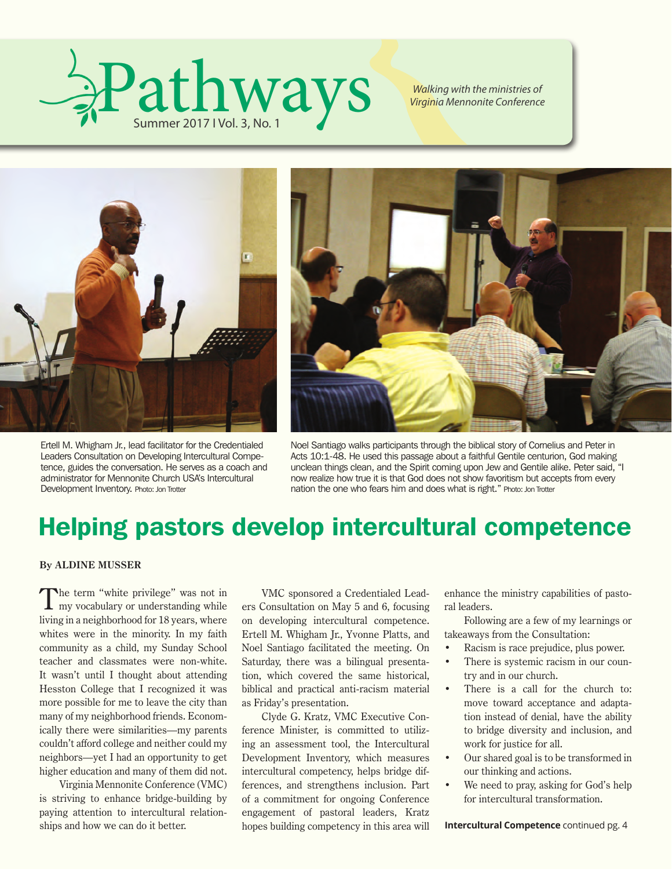

*Walking with the ministries of Virginia Mennonite Conference*



Ertell M. Whigham Jr., lead facilitator for the Credentialed Leaders Consultation on Developing Intercultural Competence, guides the conversation. He serves as a coach and administrator for Mennonite Church USA's Intercultural Development Inventory. Photo: Jon Trotter



Noel Santiago walks participants through the biblical story of Cornelius and Peter in Acts 10:1-48. He used this passage about a faithful Gentile centurion, God making unclean things clean, and the Spirit coming upon Jew and Gentile alike. Peter said, "I now realize how true it is that God does not show favoritism but accepts from every nation the one who fears him and does what is right." Photo: Jon Trotter

### Helping pastors develop intercultural competence

#### **By ALDINE MUSSER**

The term "white privilege" was not in<br>
I'my vocabulary or understanding while living in a neighborhood for 18 years, where whites were in the minority. In my faith community as a child, my Sunday School teacher and classmates were non-white. It wasn't until I thought about attending Hesston College that I recognized it was more possible for me to leave the city than many of my neighborhood friends. Economically there were similarities—my parents couldn't afford college and neither could my neighbors—yet I had an opportunity to get higher education and many of them did not.

Virginia Mennonite Conference (VMC) is striving to enhance bridge-building by paying attention to intercultural relationships and how we can do it better.

VMC sponsored a Credentialed Leaders Consultation on May 5 and 6, focusing on developing intercultural competence. Ertell M. Whigham Jr., Yvonne Platts, and Noel Santiago facilitated the meeting. On Saturday, there was a bilingual presentation, which covered the same historical, biblical and practical anti-racism material as Friday's presentation.

Clyde G. Kratz, VMC Executive Conference Minister, is committed to utilizing an assessment tool, the Intercultural Development Inventory, which measures intercultural competency, helps bridge differences, and strengthens inclusion. Part of a commitment for ongoing Conference engagement of pastoral leaders, Kratz hopes building competency in this area will

enhance the ministry capabilities of pastoral leaders.

Following are a few of my learnings or takeaways from the Consultation:

- Racism is race prejudice, plus power.
- There is systemic racism in our country and in our church.
- There is a call for the church to: move toward acceptance and adaptation instead of denial, have the ability to bridge diversity and inclusion, and work for justice for all.
- Our shared goal is to be transformed in our thinking and actions.
- We need to pray, asking for God's help for intercultural transformation.

**Intercultural Competence** continued pg. 4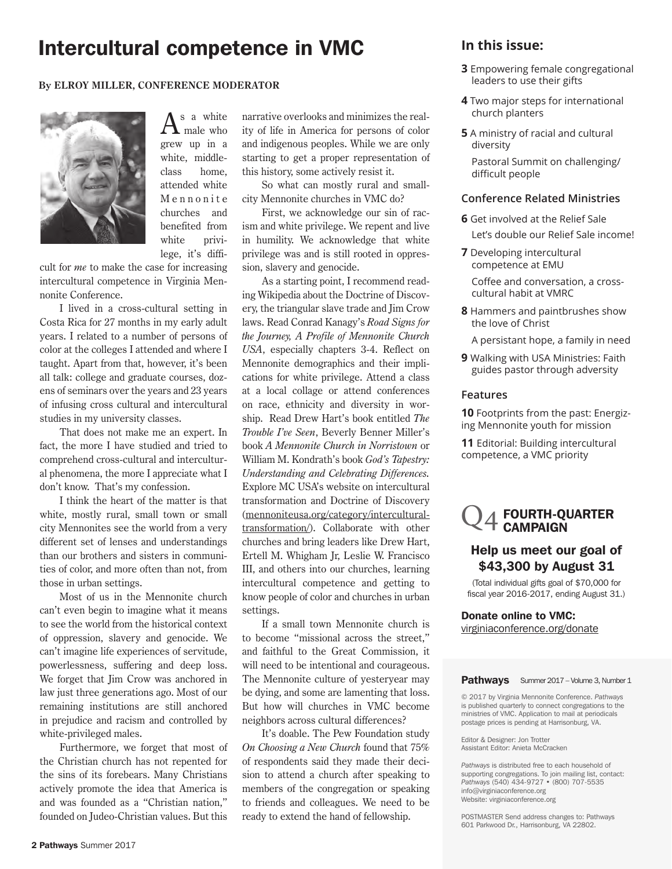### Intercultural competence in VMC **In this issue:**

#### **By ELROY MILLER, CONFERENCE MODERATOR**



 $A^{\rm s}$  a white grew up in a white, middleclass home, attended white M e n n o n i t e churches and benefited from white privilege, it's diffi-

cult for *me* to make the case for increasing intercultural competence in Virginia Mennonite Conference.

I lived in a cross-cultural setting in Costa Rica for 27 months in my early adult years. I related to a number of persons of color at the colleges I attended and where I taught. Apart from that, however, it's been all talk: college and graduate courses, dozens of seminars over the years and 23 years of infusing cross cultural and intercultural studies in my university classes.

That does not make me an expert. In fact, the more I have studied and tried to comprehend cross-cultural and intercultural phenomena, the more I appreciate what I don't know. That's my confession.

I think the heart of the matter is that white, mostly rural, small town or small city Mennonites see the world from a very different set of lenses and understandings than our brothers and sisters in communities of color, and more often than not, from those in urban settings.

Most of us in the Mennonite church can't even begin to imagine what it means to see the world from the historical context of oppression, slavery and genocide. We can't imagine life experiences of servitude, powerlessness, suffering and deep loss. We forget that Jim Crow was anchored in law just three generations ago. Most of our remaining institutions are still anchored in prejudice and racism and controlled by white-privileged males.

Furthermore, we forget that most of the Christian church has not repented for the sins of its forebears. Many Christians actively promote the idea that America is and was founded as a "Christian nation," founded on Judeo-Christian values. But this narrative overlooks and minimizes the reality of life in America for persons of color and indigenous peoples. While we are only starting to get a proper representation of this history, some actively resist it.

So what can mostly rural and smallcity Mennonite churches in VMC do?

First, we acknowledge our sin of racism and white privilege. We repent and live in humility. We acknowledge that white privilege was and is still rooted in oppression, slavery and genocide.

As a starting point, I recommend reading Wikipedia about the Doctrine of Discovery, the triangular slave trade and Jim Crow laws. Read Conrad Kanagy's *Road Signs for the Journey, A Profile of Mennonite Church USA*, especially chapters 3-4. Reflect on Mennonite demographics and their implications for white privilege. Attend a class at a local collage or attend conferences on race, ethnicity and diversity in worship. Read Drew Hart's book entitled *The Trouble I've Seen*, Beverly Benner Miller's book *A Mennonite Church in Norristown* or William M. Kondrath's book *God's Tapestry: Understanding and Celebrating Differences.* Explore MC USA's website on intercultural transformation and Doctrine of Discovery (mennoniteusa.org/category/interculturaltransformation/). Collaborate with other churches and bring leaders like Drew Hart, Ertell M. Whigham Jr, Leslie W. Francisco III, and others into our churches, learning intercultural competence and getting to know people of color and churches in urban settings.

If a small town Mennonite church is to become "missional across the street," and faithful to the Great Commission, it will need to be intentional and courageous. The Mennonite culture of yesteryear may be dying, and some are lamenting that loss. But how will churches in VMC become neighbors across cultural differences?

It's doable. The Pew Foundation study *On Choosing a New Church* found that 75% of respondents said they made their decision to attend a church after speaking to members of the congregation or speaking to friends and colleagues. We need to be ready to extend the hand of fellowship.

difficult people

- **3** Empowering female congregational leaders to use their gifts
- **4** Two major steps for international church planters
- **5** A ministry of racial and cultural diversity Pastoral Summit on challenging/

#### **Conference Related Ministries**

- **6** Get involved at the Relief Sale Let's double our Relief Sale income!
- **7** Developing intercultural competence at EMU

 Coffee and conversation, a cross cultural habit at VMRC

**8** Hammers and paintbrushes show the love of Christ

A persistant hope, a family in need

**9** Walking with USA Ministries: Faith guides pastor through adversity

#### **Features**

**10** Footprints from the past: Energizing Mennonite youth for mission

**11** Editorial: Building intercultural competence, a VMC priority

### FOURTH-QUARTER CAMPAIGN

#### Help us meet our goal of \$43,300 by August 31

(Total individual gifts goal of \$70,000 for fiscal year 2016-2017, ending August 31.)

Donate online to VMC: virginiaconference.org/donate

#### Pathways Summer 2017 – Volume 3, Number 1

© 2017 by Virginia Mennonite Conference. *Pathways* is published quarterly to connect congregations to the ministries of VMC. Application to mail at periodicals postage prices is pending at Harrisonburg, VA.

Editor & Designer: Jon Trotter Assistant Editor: Anieta McCracken

*Pathways* is distributed free to each household of supporting congregations. To join mailing list, contact: *Pathways* (540) 434-9727 • (800) 707-5535 info@virginiaconference.org Website: virginiaconference.org

POSTMASTER Send address changes to: Pathways 601 Parkwood Dr., Harrisonburg, VA 22802.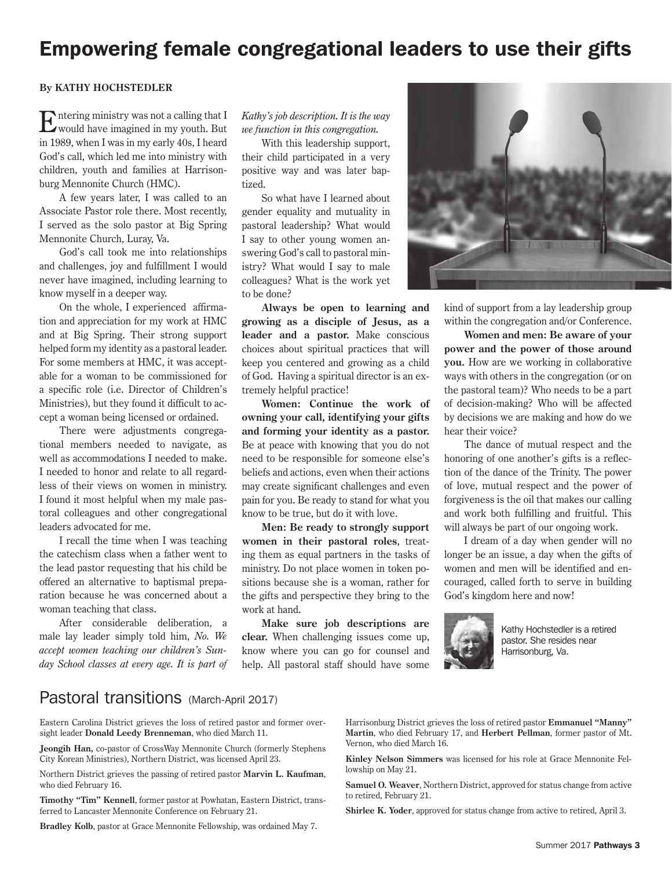### Empowering female congregational leaders to use their gifts

#### **By KATHY HOCHSTEDLER**

Entering ministry was not a calling that I would have imagined in my youth. But in 1989, when I was in my early 40s, I heard God's call, which led me into ministry with children, youth and families at Harrisonburg Mennonite Church (HMC).

A few years later, I was called to an Associate Pastor role there. Most recently, I served as the solo pastor at Big Spring Mennonite Church, Luray, Va.

God's call took me into relationships and challenges, joy and fulfillment I would never have imagined, including learning to know myself in a deeper way.

On the whole, I experienced affirmation and appreciation for my work at HMC and at Big Spring. Their strong support helped form my identity as a pastoral leader. For some members at HMC, it was acceptable for a woman to be commissioned for a specific role (i.e. Director of Children's Ministries), but they found it difficult to accept a woman being licensed or ordained.

There were adjustments congregational members needed to navigate, as well as accommodations I needed to make. I needed to honor and relate to all regardless of their views on women in ministry. I found it most helpful when my male pastoral colleagues and other congregational leaders advocated for me.

I recall the time when I was teaching the catechism class when a father went to the lead pastor requesting that his child be offered an alternative to baptismal preparation because he was concerned about a woman teaching that class.

After considerable deliberation, a male lay leader simply told him, *No. We accept women teaching our children's Sunday School classes at every age. It is part of*  *Kathy's job description. It is the way we function in this congregation.*

With this leadership support, their child participated in a very positive way and was later baptized.

So what have I learned about gender equality and mutuality in pastoral leadership? What would I say to other young women answering God's call to pastoral ministry? What would I say to male colleagues? What is the work yet to be done?

**Always be open to learning and growing as a disciple of Jesus, as a leader and a pastor.** Make conscious choices about spiritual practices that will keep you centered and growing as a child of God. Having a spiritual director is an extremely helpful practice!

**Women: Continue the work of owning your call, identifying your gifts and forming your identity as a pastor.** Be at peace with knowing that you do not need to be responsible for someone else's beliefs and actions, even when their actions may create significant challenges and even pain for you. Be ready to stand for what you know to be true, but do it with love.

**Men: Be ready to strongly support women in their pastoral roles**, treating them as equal partners in the tasks of ministry. Do not place women in token positions because she is a woman, rather for the gifts and perspective they bring to the work at hand.

**Make sure job descriptions are clear.** When challenging issues come up, know where you can go for counsel and help. All pastoral staff should have some



kind of support from a lay leadership group within the congregation and/or Conference.

**Women and men: Be aware of your power and the power of those around you.** How are we working in collaborative ways with others in the congregation (or on the pastoral team)? Who needs to be a part of decision-making? Who will be affected by decisions we are making and how do we hear their voice?

The dance of mutual respect and the honoring of one another's gifts is a reflection of the dance of the Trinity. The power of love, mutual respect and the power of forgiveness is the oil that makes our calling and work both fulfilling and fruitful. This will always be part of our ongoing work.

I dream of a day when gender will no longer be an issue, a day when the gifts of women and men will be identified and encouraged, called forth to serve in building God's kingdom here and now!



Kathy Hochstedler is a retired pastor. She resides near Harrisonburg, Va.

### Pastoral transitions (March-April 2017)

Eastern Carolina District grieves the loss of retired pastor and former oversight leader **Donald Leedy Brenneman**, who died March 11.

**Jeongih Han,** co-pastor of CrossWay Mennonite Church (formerly Stephens City Korean Ministries), Northern District, was licensed April 23.

Northern District grieves the passing of retired pastor **Marvin L. Kaufman**, who died February 16.

**Timothy "Tim" Kennell**, former pastor at Powhatan, Eastern District, transferred to Lancaster Mennonite Conference on February 21.

**Bradley Kolb**, pastor at Grace Mennonite Fellowship, was ordained May 7.

Harrisonburg District grieves the loss of retired pastor **Emmanuel "Manny" Martin**, who died February 17, and **Herbert Pellman**, former pastor of Mt. Vernon, who died March 16.

**Kinley Nelson Simmers** was licensed for his role at Grace Mennonite Fellowship on May 21.

**Samuel O. Weaver**, Northern District, approved for status change from active to retired, February 21.

**Shirlee K. Yoder**, approved for status change from active to retired, April 3.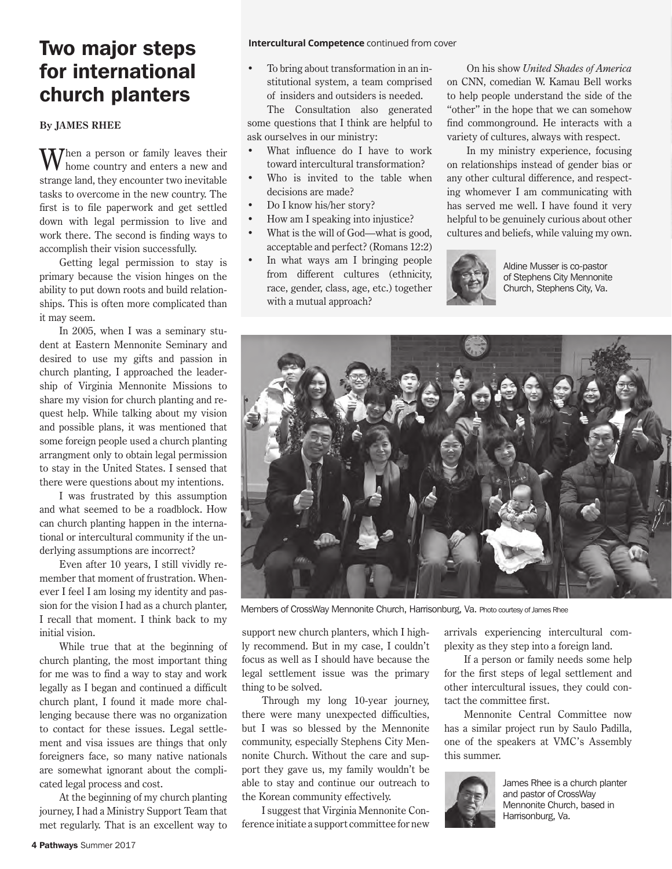### **IWO MAJOr Steps** Intercultural Competence continued from cover for international church planters

#### **By JAMES RHEE**

Then a person or family leaves their home country and enters a new and strange land, they encounter two inevitable tasks to overcome in the new country. The first is to file paperwork and get settled down with legal permission to live and work there. The second is finding ways to accomplish their vision successfully.

Getting legal permission to stay is primary because the vision hinges on the ability to put down roots and build relationships. This is often more complicated than it may seem.

In 2005, when I was a seminary student at Eastern Mennonite Seminary and desired to use my gifts and passion in church planting, I approached the leadership of Virginia Mennonite Missions to share my vision for church planting and request help. While talking about my vision and possible plans, it was mentioned that some foreign people used a church planting arrangment only to obtain legal permission to stay in the United States. I sensed that there were questions about my intentions.

I was frustrated by this assumption and what seemed to be a roadblock. How can church planting happen in the international or intercultural community if the underlying assumptions are incorrect?

Even after 10 years, I still vividly remember that moment of frustration. Whenever I feel I am losing my identity and passion for the vision I had as a church planter, I recall that moment. I think back to my initial vision.

While true that at the beginning of church planting, the most important thing for me was to find a way to stay and work legally as I began and continued a difficult church plant, I found it made more challenging because there was no organization to contact for these issues. Legal settlement and visa issues are things that only foreigners face, so many native nationals are somewhat ignorant about the complicated legal process and cost.

At the beginning of my church planting journey, I had a Ministry Support Team that met regularly. That is an excellent way to

• To bring about transformation in an institutional system, a team comprised of insiders and outsiders is needed.

The Consultation also generated some questions that I think are helpful to ask ourselves in our ministry:

- What influence do I have to work toward intercultural transformation?
- Who is invited to the table when decisions are made?
- Do I know his/her story?
- How am I speaking into injustice?
- What is the will of God—what is good, acceptable and perfect? (Romans 12:2)
- In what ways am I bringing people from different cultures (ethnicity, race, gender, class, age, etc.) together with a mutual approach?

On his show *United Shades of America*  on CNN, comedian W. Kamau Bell works to help people understand the side of the "other" in the hope that we can somehow find commonground. He interacts with a variety of cultures, always with respect.

In my ministry experience, focusing on relationships instead of gender bias or any other cultural difference, and respecting whomever I am communicating with has served me well. I have found it very helpful to be genuinely curious about other cultures and beliefs, while valuing my own.



Aldine Musser is co-pastor of Stephens City Mennonite Church, Stephens City, Va.



Members of CrossWay Mennonite Church, Harrisonburg, Va. Photo courtesy of James Rhee

support new church planters, which I highly recommend. But in my case, I couldn't focus as well as I should have because the legal settlement issue was the primary thing to be solved.

Through my long 10-year journey, there were many unexpected difficulties, but I was so blessed by the Mennonite community, especially Stephens City Mennonite Church. Without the care and support they gave us, my family wouldn't be able to stay and continue our outreach to the Korean community effectively.

I suggest that Virginia Mennonite Conference initiate a support committee for new arrivals experiencing intercultural complexity as they step into a foreign land.

If a person or family needs some help for the first steps of legal settlement and other intercultural issues, they could contact the committee first.

Mennonite Central Committee now has a similar project run by Saulo Padilla, one of the speakers at VMC's Assembly this summer.



James Rhee is a church planter and pastor of CrossWay Mennonite Church, based in Harrisonburg, Va.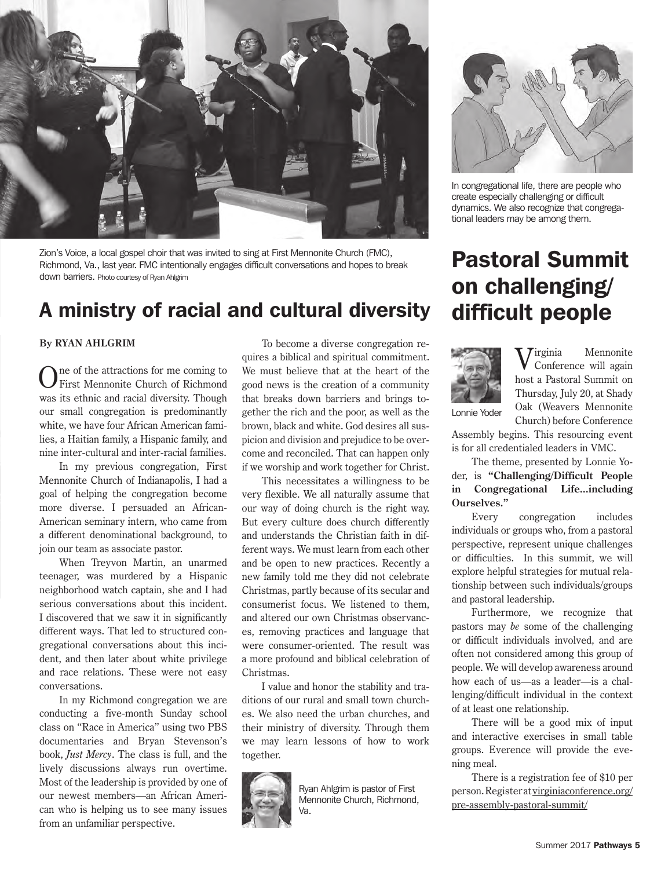

Zion's Voice, a local gospel choir that was invited to sing at First Mennonite Church (FMC), Richmond, Va., last year. FMC intentionally engages difficult conversations and hopes to break down barriers. Photo courtesy of Ryan Ahlgrim

### A ministry of racial and cultural diversity difficult people

#### **By RYAN AHLGRIM**

One of the attractions for me coming to First Mennonite Church of Richmond was its ethnic and racial diversity. Though our small congregation is predominantly white, we have four African American families, a Haitian family, a Hispanic family, and nine inter-cultural and inter-racial families.

In my previous congregation, First Mennonite Church of Indianapolis, I had a goal of helping the congregation become more diverse. I persuaded an African-American seminary intern, who came from a different denominational background, to join our team as associate pastor.

When Treyvon Martin, an unarmed teenager, was murdered by a Hispanic neighborhood watch captain, she and I had serious conversations about this incident. I discovered that we saw it in significantly different ways. That led to structured congregational conversations about this incident, and then later about white privilege and race relations. These were not easy conversations.

In my Richmond congregation we are conducting a five-month Sunday school class on "Race in America" using two PBS documentaries and Bryan Stevenson's book, *Just Mercy*. The class is full, and the lively discussions always run overtime. Most of the leadership is provided by one of our newest members—an African American who is helping us to see many issues from an unfamiliar perspective.

To become a diverse congregation requires a biblical and spiritual commitment. We must believe that at the heart of the good news is the creation of a community that breaks down barriers and brings together the rich and the poor, as well as the brown, black and white. God desires all suspicion and division and prejudice to be overcome and reconciled. That can happen only if we worship and work together for Christ.

This necessitates a willingness to be very flexible. We all naturally assume that our way of doing church is the right way. But every culture does church differently and understands the Christian faith in different ways. We must learn from each other and be open to new practices. Recently a new family told me they did not celebrate Christmas, partly because of its secular and consumerist focus. We listened to them, and altered our own Christmas observances, removing practices and language that were consumer-oriented. The result was a more profound and biblical celebration of Christmas.

I value and honor the stability and traditions of our rural and small town churches. We also need the urban churches, and their ministry of diversity. Through them we may learn lessons of how to work together.



Ryan Ahlgrim is pastor of First Mennonite Church, Richmond, Va.



In congregational life, there are people who create especially challenging or difficult dynamics. We also recognize that congregational leaders may be among them.

# Pastoral Summit on challenging/



Virginia Mennonite Conference will again host a Pastoral Summit on Thursday, July 20, at Shady Oak (Weavers Mennonite Church) before Conference

Lonnie Yoder

Assembly begins. This resourcing event is for all credentialed leaders in VMC.

The theme, presented by Lonnie Yoder, is **"Challenging/Difficult People in Congregational Life...including Ourselves."**

Every congregation includes individuals or groups who, from a pastoral perspective, represent unique challenges or difficulties. In this summit, we will explore helpful strategies for mutual relationship between such individuals/groups and pastoral leadership.

Furthermore, we recognize that pastors may *be* some of the challenging or difficult individuals involved, and are often not considered among this group of people. We will develop awareness around how each of us—as a leader—is a challenging/difficult individual in the context of at least one relationship.

There will be a good mix of input and interactive exercises in small table groups. Everence will provide the evening meal.

There is a registration fee of \$10 per person. Register at virginiaconference.org/ pre-assembly-pastoral-summit/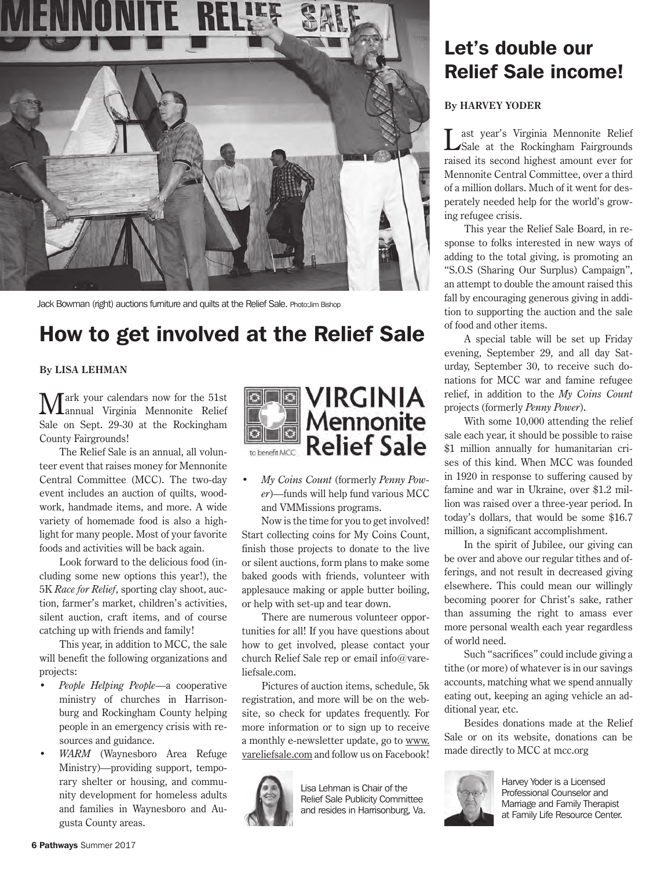

Jack Bowman (right) auctions furniture and quilts at the Relief Sale. Photo:Jim Bishop

### How to get involved at the Relief Sale

#### **By LISA LEHMAN**

Mark your calendars now for the 51st annual Virginia Mennonite Relief Sale on Sept. 29-30 at the Rockingham County Fairgrounds!

The Relief Sale is an annual, all volunteer event that raises money for Mennonite Central Committee (MCC). The two-day event includes an auction of quilts, woodwork, handmade items, and more. A wide variety of homemade food is also a highlight for many people. Most of your favorite foods and activities will be back again.

Look forward to the delicious food (including some new options this year!), the 5K *Race for Relief*, sporting clay shoot, auction, farmer's market, children's activities, silent auction, craft items, and of course catching up with friends and family!

This year, in addition to MCC, the sale will benefit the following organizations and projects:

- *• People Helping People*—a cooperative ministry of churches in Harrisonburg and Rockingham County helping people in an emergency crisis with resources and guidance.
- *• WARM* (Waynesboro Area Refuge Ministry)—providing support, temporary shelter or housing, and community development for homeless adults and families in Waynesboro and Augusta County areas.



*• My Coins Count* (formerly *Penny Power*)—funds will help fund various MCC and VMMissions programs.

Now is the time for you to get involved! Start collecting coins for My Coins Count, finish those projects to donate to the live or silent auctions, form plans to make some baked goods with friends, volunteer with applesauce making or apple butter boiling, or help with set-up and tear down.

There are numerous volunteer opportunities for all! If you have questions about how to get involved, please contact your church Relief Sale rep or email info@vareliefsale.com.

Pictures of auction items, schedule, 5k registration, and more will be on the website, so check for updates frequently. For more information or to sign up to receive a monthly e-newsletter update, go to www. vareliefsale.com and follow us on Facebook!



Lisa Lehman is Chair of the Relief Sale Publicity Committee and resides in Harrisonburg, Va.

### Let's double our Relief Sale income!

#### **By HARVEY YODER**

Last year's Virginia Mennonite Relief Sale at the Rockingham Fairgrounds raised its second highest amount ever for Mennonite Central Committee, over a third of a million dollars. Much of it went for desperately needed help for the world's growing refugee crisis.

This year the Relief Sale Board, in response to folks interested in new ways of adding to the total giving, is promoting an "S.O.S (Sharing Our Surplus) Campaign", an attempt to double the amount raised this fall by encouraging generous giving in addition to supporting the auction and the sale of food and other items.

A special table will be set up Friday evening, September 29, and all day Saturday, September 30, to receive such donations for MCC war and famine refugee relief, in addition to the *My Coins Count*  projects (formerly *Penny Power*).

With some 10,000 attending the relief sale each year, it should be possible to raise \$1 million annually for humanitarian crises of this kind. When MCC was founded in 1920 in response to suffering caused by famine and war in Ukraine, over \$1.2 million was raised over a three-year period. In today's dollars, that would be some \$16.7 million, a significant accomplishment.

In the spirit of Jubilee, our giving can be over and above our regular tithes and offerings, and not result in decreased giving elsewhere. This could mean our willingly becoming poorer for Christ's sake, rather than assuming the right to amass ever more personal wealth each year regardless of world need.

Such "sacrifices" could include giving a tithe (or more) of whatever is in our savings accounts, matching what we spend annually eating out, keeping an aging vehicle an additional year, etc.

Besides donations made at the Relief Sale or on its website, donations can be made directly to MCC at mcc.org



Harvey Yoder is a Licensed Professional Counselor and Marriage and Family Therapist at Family Life Resource Center.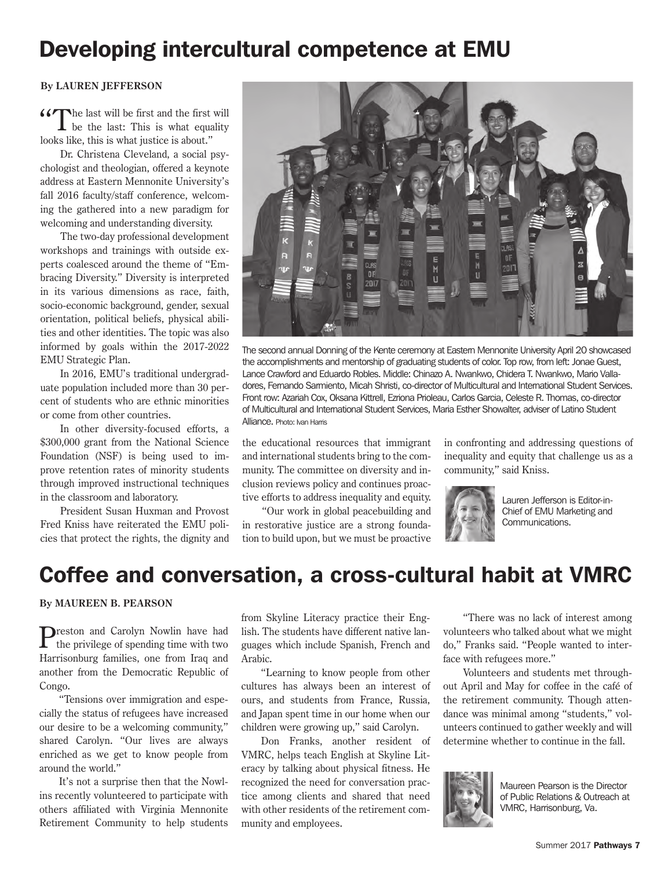### Developing intercultural competence at EMU

#### **By LAUREN JEFFERSON**

"The last will be first and the first will be the last: This is what equality looks like, this is what justice is about."

Dr. Christena Cleveland, a social psychologist and theologian, offered a keynote address at Eastern Mennonite University's fall 2016 faculty/staff conference, welcoming the gathered into a new paradigm for welcoming and understanding diversity.

The two-day professional development workshops and trainings with outside experts coalesced around the theme of "Embracing Diversity." Diversity is interpreted in its various dimensions as race, faith, socio-economic background, gender, sexual orientation, political beliefs, physical abilities and other identities. The topic was also informed by goals within the 2017-2022 EMU Strategic Plan.

In 2016, EMU's traditional undergraduate population included more than 30 percent of students who are ethnic minorities or come from other countries.

In other diversity-focused efforts, a \$300,000 grant from the National Science Foundation (NSF) is being used to improve retention rates of minority students through improved instructional techniques in the classroom and laboratory.

President Susan Huxman and Provost Fred Kniss have reiterated the EMU policies that protect the rights, the dignity and



The second annual Donning of the Kente ceremony at Eastern Mennonite University April 20 showcased the accomplishments and mentorship of graduating students of color. Top row, from left: Jonae Guest, Lance Crawford and Eduardo Robles. Middle: Chinazo A. Nwankwo, Chidera T. Nwankwo, Mario Valladores, Fernando Sarmiento, Micah Shristi, co-director of Multicultural and International Student Services. Front row: Azariah Cox, Oksana Kittrell, Ezriona Prioleau, Carlos Garcia, Celeste R. Thomas, co-director of Multicultural and International Student Services, Maria Esther Showalter, adviser of Latino Student Alliance. Photo: Ivan Harris

the educational resources that immigrant and international students bring to the community. The committee on diversity and inclusion reviews policy and continues proactive efforts to address inequality and equity.

"Our work in global peacebuilding and in restorative justice are a strong foundation to build upon, but we must be proactive in confronting and addressing questions of inequality and equity that challenge us as a community," said Kniss.



Lauren Jefferson is Editor-in-Chief of EMU Marketing and Communications.

### Coffee and conversation, a cross-cultural habit at VMRC

#### **By MAUREEN B. PEARSON**

Preston and Carolyn Nowlin have had the privilege of spending time with two Harrisonburg families, one from Iraq and another from the Democratic Republic of Congo.

"Tensions over immigration and especially the status of refugees have increased our desire to be a welcoming community," shared Carolyn. "Our lives are always enriched as we get to know people from around the world."

It's not a surprise then that the Nowlins recently volunteered to participate with others affiliated with Virginia Mennonite Retirement Community to help students

from Skyline Literacy practice their English. The students have different native languages which include Spanish, French and Arabic.

"Learning to know people from other cultures has always been an interest of ours, and students from France, Russia, and Japan spent time in our home when our children were growing up," said Carolyn.

Don Franks, another resident of VMRC, helps teach English at Skyline Literacy by talking about physical fitness. He recognized the need for conversation practice among clients and shared that need with other residents of the retirement community and employees.

"There was no lack of interest among volunteers who talked about what we might do," Franks said. "People wanted to interface with refugees more."

Volunteers and students met throughout April and May for coffee in the café of the retirement community. Though attendance was minimal among "students," volunteers continued to gather weekly and will determine whether to continue in the fall.



Maureen Pearson is the Director of Public Relations & Outreach at VMRC, Harrisonburg, Va.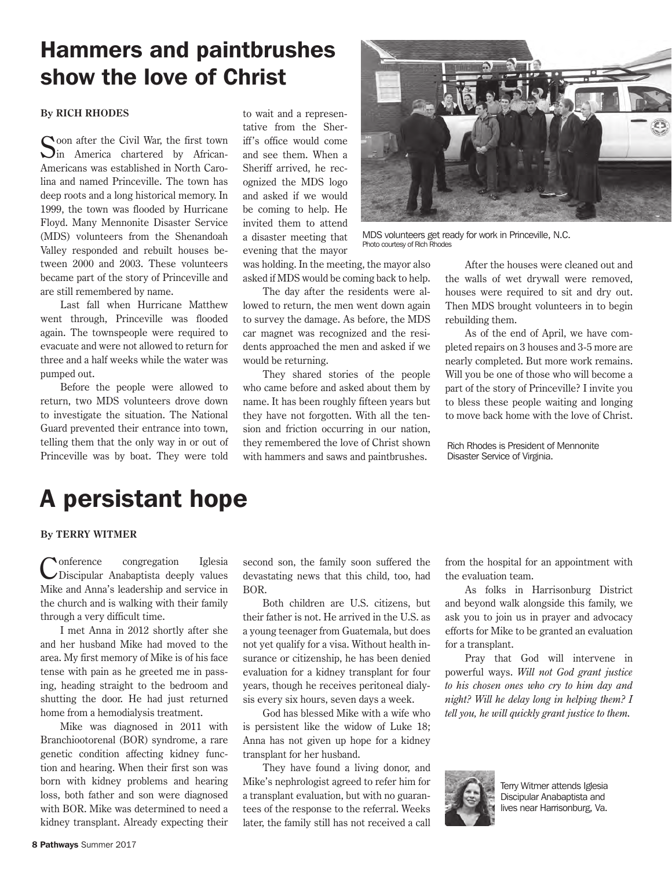### Hammers and paintbrushes show the love of Christ

#### **By RICH RHODES**

Soon after the Civil War, the first town  $\sum$ in America chartered by African-Americans was established in North Carolina and named Princeville. The town has deep roots and a long historical memory. In 1999, the town was flooded by Hurricane Floyd. Many Mennonite Disaster Service (MDS) volunteers from the Shenandoah Valley responded and rebuilt houses between 2000 and 2003. These volunteers became part of the story of Princeville and are still remembered by name.

Last fall when Hurricane Matthew went through, Princeville was flooded again. The townspeople were required to evacuate and were not allowed to return for three and a half weeks while the water was pumped out.

Before the people were allowed to return, two MDS volunteers drove down to investigate the situation. The National Guard prevented their entrance into town, telling them that the only way in or out of Princeville was by boat. They were told

to wait and a representative from the Sheriff's office would come and see them. When a Sheriff arrived, he recognized the MDS logo and asked if we would be coming to help. He invited them to attend a disaster meeting that evening that the mayor



MDS volunteers get ready for work in Princeville, N.C. Photo courtesy of Rich Rhodes

was holding. In the meeting, the mayor also asked if MDS would be coming back to help.

The day after the residents were allowed to return, the men went down again to survey the damage. As before, the MDS car magnet was recognized and the residents approached the men and asked if we would be returning.

They shared stories of the people who came before and asked about them by name. It has been roughly fifteen years but they have not forgotten. With all the tension and friction occurring in our nation, they remembered the love of Christ shown with hammers and saws and paintbrushes.

After the houses were cleaned out and the walls of wet drywall were removed, houses were required to sit and dry out. Then MDS brought volunteers in to begin rebuilding them.

As of the end of April, we have completed repairs on 3 houses and 3-5 more are nearly completed. But more work remains. Will you be one of those who will become a part of the story of Princeville? I invite you to bless these people waiting and longing to move back home with the love of Christ.

Rich Rhodes is President of Mennonite Disaster Service of Virginia.

### A persistant hope

#### **By TERRY WITMER**

Conference congregation Iglesia Discipular Anabaptista deeply values Mike and Anna's leadership and service in the church and is walking with their family through a very difficult time.

I met Anna in 2012 shortly after she and her husband Mike had moved to the area. My first memory of Mike is of his face tense with pain as he greeted me in passing, heading straight to the bedroom and shutting the door. He had just returned home from a hemodialysis treatment.

Mike was diagnosed in 2011 with Branchiootorenal (BOR) syndrome, a rare genetic condition affecting kidney function and hearing. When their first son was born with kidney problems and hearing loss, both father and son were diagnosed with BOR. Mike was determined to need a kidney transplant. Already expecting their

second son, the family soon suffered the devastating news that this child, too, had BOR.

Both children are U.S. citizens, but their father is not. He arrived in the U.S. as a young teenager from Guatemala, but does not yet qualify for a visa. Without health insurance or citizenship, he has been denied evaluation for a kidney transplant for four years, though he receives peritoneal dialysis every six hours, seven days a week.

God has blessed Mike with a wife who is persistent like the widow of Luke 18; Anna has not given up hope for a kidney transplant for her husband.

They have found a living donor, and Mike's nephrologist agreed to refer him for a transplant evaluation, but with no guarantees of the response to the referral. Weeks later, the family still has not received a call from the hospital for an appointment with the evaluation team.

As folks in Harrisonburg District and beyond walk alongside this family, we ask you to join us in prayer and advocacy efforts for Mike to be granted an evaluation for a transplant.

Pray that God will intervene in powerful ways. *Will not God grant justice to his chosen ones who cry to him day and night? Will he delay long in helping them? I tell you, he will quickly grant justice to them.*



Terry Witmer attends Iglesia Discipular Anabaptista and lives near Harrisonburg, Va.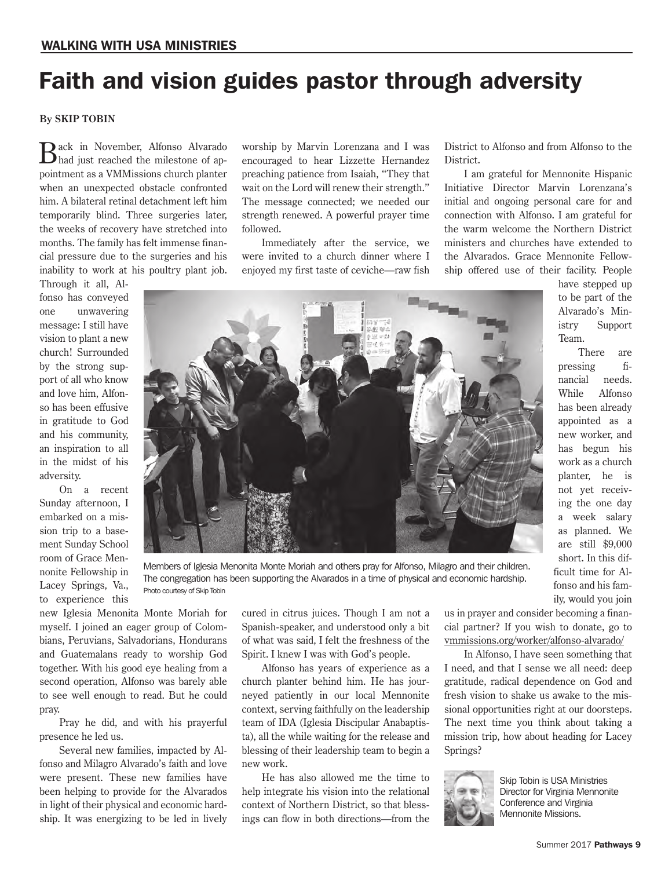## Faith and vision guides pastor through adversity

#### **By SKIP TOBIN**

Back in November, Alfonso Alvarado had just reached the milestone of appointment as a VMMissions church planter when an unexpected obstacle confronted him. A bilateral retinal detachment left him temporarily blind. Three surgeries later, the weeks of recovery have stretched into months. The family has felt immense financial pressure due to the surgeries and his inability to work at his poultry plant job.

Through it all, Alfonso has conveyed one unwavering message: I still have vision to plant a new church! Surrounded by the strong support of all who know and love him, Alfonso has been effusive in gratitude to God and his community, an inspiration to all in the midst of his adversity.

On a recent Sunday afternoon, I embarked on a mission trip to a basement Sunday School room of Grace Mennonite Fellowship in Lacey Springs, Va., to experience this worship by Marvin Lorenzana and I was encouraged to hear Lizzette Hernandez preaching patience from Isaiah, "They that wait on the Lord will renew their strength." The message connected; we needed our strength renewed. A powerful prayer time followed.

Immediately after the service, we were invited to a church dinner where I enjoyed my first taste of ceviche—raw fish District to Alfonso and from Alfonso to the District.

I am grateful for Mennonite Hispanic Initiative Director Marvin Lorenzana's initial and ongoing personal care for and connection with Alfonso. I am grateful for the warm welcome the Northern District ministers and churches have extended to the Alvarados. Grace Mennonite Fellowship offered use of their facility. People

have stepped up to be part of the Alvarado's Ministry Support Team.

There are pressing financial needs. While Alfonso has been already appointed as a new worker, and has begun his work as a church planter, he is not yet receiving the one day a week salary as planned. We are still \$9,000 short. In this difficult time for Alfonso and his family, would you join



Members of Iglesia Menonita Monte Moriah and others pray for Alfonso, Milagro and their children. The congregation has been supporting the Alvarados in a time of physical and economic hardship. Photo courtesy of Skip Tobin

new Iglesia Menonita Monte Moriah for myself. I joined an eager group of Colombians, Peruvians, Salvadorians, Hondurans and Guatemalans ready to worship God together. With his good eye healing from a second operation, Alfonso was barely able to see well enough to read. But he could pray.

Pray he did, and with his prayerful presence he led us.

Several new families, impacted by Alfonso and Milagro Alvarado's faith and love were present. These new families have been helping to provide for the Alvarados in light of their physical and economic hardship. It was energizing to be led in lively

cured in citrus juices. Though I am not a Spanish-speaker, and understood only a bit of what was said, I felt the freshness of the Spirit. I knew I was with God's people.

Alfonso has years of experience as a church planter behind him. He has journeyed patiently in our local Mennonite context, serving faithfully on the leadership team of IDA (Iglesia Discipular Anabaptista), all the while waiting for the release and blessing of their leadership team to begin a new work.

He has also allowed me the time to help integrate his vision into the relational context of Northern District, so that blessings can flow in both directions—from the

us in prayer and consider becoming a financial partner? If you wish to donate, go to vmmissions.org/worker/alfonso-alvarado/

In Alfonso, I have seen something that I need, and that I sense we all need: deep gratitude, radical dependence on God and fresh vision to shake us awake to the missional opportunities right at our doorsteps. The next time you think about taking a mission trip, how about heading for Lacey Springs?



Skip Tobin is USA Ministries Director for Virginia Mennonite Conference and Virginia Mennonite Missions.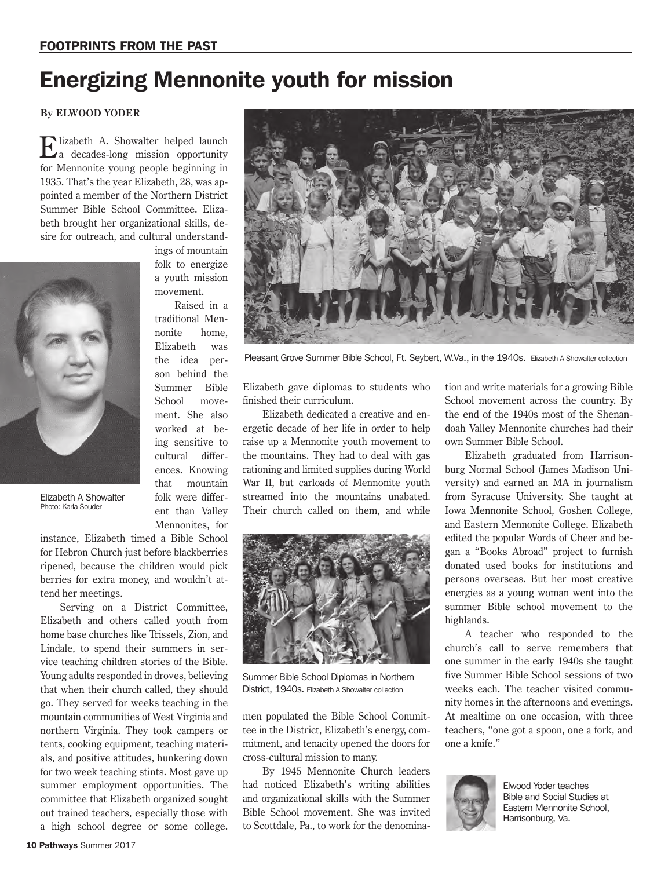### Energizing Mennonite youth for mission

#### **By ELWOOD YODER**

Elizabeth A. Showalter helped launch a decades-long mission opportunity for Mennonite young people beginning in 1935. That's the year Elizabeth, 28, was appointed a member of the Northern District Summer Bible School Committee. Elizabeth brought her organizational skills, desire for outreach, and cultural understand-

> ings of mountain folk to energize a youth mission movement.

> Raised in a traditional Mennonite home, Elizabeth was the idea person behind the Summer Bible School movement. She also worked at being sensitive to cultural differences. Knowing that mountain folk were different than Valley Mennonites, for



Elizabeth A Showalter Photo: Karla Souder

instance, Elizabeth timed a Bible School for Hebron Church just before blackberries ripened, because the children would pick berries for extra money, and wouldn't attend her meetings.

Serving on a District Committee, Elizabeth and others called youth from home base churches like Trissels, Zion, and Lindale, to spend their summers in service teaching children stories of the Bible. Young adults responded in droves, believing that when their church called, they should go. They served for weeks teaching in the mountain communities of West Virginia and northern Virginia. They took campers or tents, cooking equipment, teaching materials, and positive attitudes, hunkering down for two week teaching stints. Most gave up summer employment opportunities. The committee that Elizabeth organized sought out trained teachers, especially those with a high school degree or some college.



Pleasant Grove Summer Bible School, Ft. Seybert, W.Va., in the 1940s. Elizabeth A Showalter collection

Elizabeth gave diplomas to students who finished their curriculum.

Elizabeth dedicated a creative and energetic decade of her life in order to help raise up a Mennonite youth movement to the mountains. They had to deal with gas rationing and limited supplies during World War II, but carloads of Mennonite youth streamed into the mountains unabated. Their church called on them, and while



Summer Bible School Diplomas in Northern District, 1940s. Elizabeth A Showalter collection

men populated the Bible School Committee in the District, Elizabeth's energy, commitment, and tenacity opened the doors for cross-cultural mission to many.

By 1945 Mennonite Church leaders had noticed Elizabeth's writing abilities and organizational skills with the Summer Bible School movement. She was invited to Scottdale, Pa., to work for the denomination and write materials for a growing Bible School movement across the country. By the end of the 1940s most of the Shenandoah Valley Mennonite churches had their own Summer Bible School.

Elizabeth graduated from Harrisonburg Normal School (James Madison University) and earned an MA in journalism from Syracuse University. She taught at Iowa Mennonite School, Goshen College, and Eastern Mennonite College. Elizabeth edited the popular Words of Cheer and began a "Books Abroad" project to furnish donated used books for institutions and persons overseas. But her most creative energies as a young woman went into the summer Bible school movement to the highlands.

A teacher who responded to the church's call to serve remembers that one summer in the early 1940s she taught five Summer Bible School sessions of two weeks each. The teacher visited community homes in the afternoons and evenings. At mealtime on one occasion, with three teachers, "one got a spoon, one a fork, and one a knife."



Elwood Yoder teaches Bible and Social Studies at Eastern Mennonite School, Harrisonburg, Va.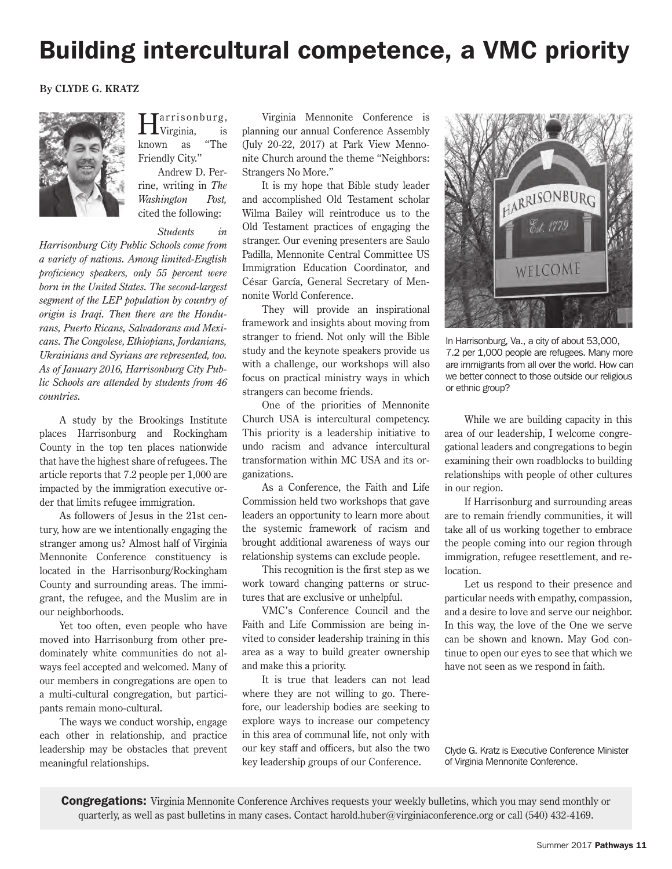## Building intercultural competence, a VMC priority

#### **By CLYDE G. KRATZ**



'arrisonburg,<br>.Virginia, is<br>wn as "The  $L$ Virginia, known  $\,$ Friendly City."

Andrew D. Perrine, writing in *The Washington Post,*  cited the following:

#### *Students in*

*Harrisonburg City Public Schools come from a variety of nations. Among limited-English proficiency speakers, only 55 percent were born in the United States. The second-largest segment of the LEP population by country of origin is Iraqi. Then there are the Hondurans, Puerto Ricans, Salvadorans and Mexicans. The Congolese, Ethiopians, Jordanians, Ukrainians and Syrians are represented, too. As of January 2016, Harrisonburg City Public Schools are attended by students from 46 countries.*

A study by the Brookings Institute places Harrisonburg and Rockingham County in the top ten places nationwide that have the highest share of refugees. The article reports that 7.2 people per 1,000 are impacted by the immigration executive order that limits refugee immigration.

As followers of Jesus in the 21st century, how are we intentionally engaging the stranger among us? Almost half of Virginia Mennonite Conference constituency is located in the Harrisonburg/Rockingham County and surrounding areas. The immigrant, the refugee, and the Muslim are in our neighborhoods.

Yet too often, even people who have moved into Harrisonburg from other predominately white communities do not always feel accepted and welcomed. Many of our members in congregations are open to a multi-cultural congregation, but participants remain mono-cultural.

The ways we conduct worship, engage each other in relationship, and practice leadership may be obstacles that prevent meaningful relationships.

Virginia Mennonite Conference is planning our annual Conference Assembly (July 20-22, 2017) at Park View Mennonite Church around the theme "Neighbors: Strangers No More."

It is my hope that Bible study leader and accomplished Old Testament scholar Wilma Bailey will reintroduce us to the Old Testament practices of engaging the stranger. Our evening presenters are Saulo Padilla, Mennonite Central Committee US Immigration Education Coordinator, and César García, General Secretary of Mennonite World Conference.

They will provide an inspirational framework and insights about moving from stranger to friend. Not only will the Bible study and the keynote speakers provide us with a challenge, our workshops will also focus on practical ministry ways in which strangers can become friends.

One of the priorities of Mennonite Church USA is intercultural competency. This priority is a leadership initiative to undo racism and advance intercultural transformation within MC USA and its organizations.

As a Conference, the Faith and Life Commission held two workshops that gave leaders an opportunity to learn more about the systemic framework of racism and brought additional awareness of ways our relationship systems can exclude people.

This recognition is the first step as we work toward changing patterns or structures that are exclusive or unhelpful.

VMC's Conference Council and the Faith and Life Commission are being invited to consider leadership training in this area as a way to build greater ownership and make this a priority.

It is true that leaders can not lead where they are not willing to go. Therefore, our leadership bodies are seeking to explore ways to increase our competency in this area of communal life, not only with our key staff and officers, but also the two key leadership groups of our Conference.



In Harrisonburg, Va., a city of about 53,000, 7.2 per 1,000 people are refugees. Many more are immigrants from all over the world. How can we better connect to those outside our religious or ethnic group?

While we are building capacity in this area of our leadership, I welcome congregational leaders and congregations to begin examining their own roadblocks to building relationships with people of other cultures in our region.

If Harrisonburg and surrounding areas are to remain friendly communities, it will take all of us working together to embrace the people coming into our region through immigration, refugee resettlement, and relocation.

Let us respond to their presence and particular needs with empathy, compassion, and a desire to love and serve our neighbor. In this way, the love of the One we serve can be shown and known. May God continue to open our eyes to see that which we have not seen as we respond in faith.

Clyde G. Kratz is Executive Conference Minister of Virginia Mennonite Conference.

**Congregations:** Virginia Mennonite Conference Archives requests your weekly bulletins, which you may send monthly or quarterly, as well as past bulletins in many cases. Contact harold.huber@virginiaconference.org or call (540) 432-4169.